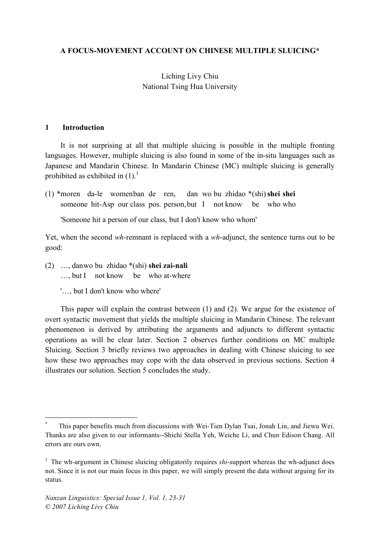### **A FOCUS-MOVEMENT ACCOUNT ON CHINESE MULTIPLE SLUICING\***

# Liching Livy Chiu National Tsing Hua University

#### **1 Introduction**

It is not surprising at all that multiple sluicing is possible in the multiple fronting languages. However, multiple sluicing is also found in some of the in-situ languages such as Japanese and Mandarin Chinese. In Mandarin Chinese (MC) multiple sluicing is generally prohibited as exhibited in  $(1)$ .<sup>1</sup>

(1) \*moren da-le womenban de ren, dan wo bu zhidao \*(shi)**shei shei** someone hit-Asp our class pos. person, but I not know be who who

'Someone hit a person of our class, but I don't know who whom'

Yet, when the second *wh*-remnant is replaced with a *wh*-adjunct, the sentence turns out to be good:

- (2) …, danwo bu zhidao \*(shi) **shei zai-nali** …, but I not know be who at-where
	- '…, but I don't know who where'

This paper will explain the contrast between (1) and (2). We argue for the existence of overt syntactic movement that yields the multiple sluicing in Mandarin Chinese. The relevant phenomenon is derived by attributing the arguments and adjuncts to different syntactic operations as will be clear later. Section 2 observes further conditions on MC multiple Sluicing. Section 3 briefly reviews two approaches in dealing with Chinese sluicing to see how these two approaches may cope with the data observed in previous sections. Section 4 illustrates our solution. Section 5 concludes the study.

This paper benefits much from discussions with Wei-Tien Dylan Tsai, Jonah Lin, and Jiewu Wei. Thanks are also given to our informants--Shichi Stella Yeh, Weiche Li, and Chun Edison Chang. All errors are ours own.

<sup>&</sup>lt;sup>1</sup> The wh-argument in Chinese sluicing obligatorily requires *shi*-support whereas the wh-adjunct does not. Since it is not our main focus in this paper, we will simply present the data without arguing for its status.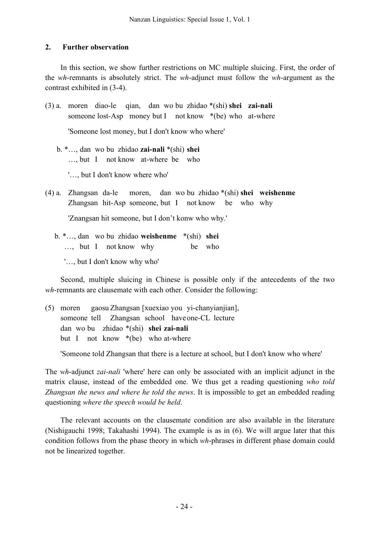# **2. Further observation**

In this section, we show further restrictions on MC multiple sluicing. First, the order of the *wh*-remnants is absolutely strict. The *wh*-adjunct must follow the *wh*-argument as the contrast exhibited in (3-4).

(3) a. moren diao-le qian, dan wo bu zhidao \*(shi) **shei zai-nali** someone lost-Asp money but I not know \*(be) who at-where 'Someone lost money, but I don't know who where'

- b. \*…, dan wo bu zhidao **zai-nali** \*(shi) **shei** …, but I not know at-where be who '…, but I don't know where who'
- (4) a. Zhangsan da-le moren, dan wo bu zhidao \*(shi) **shei weishenme** Zhangsan hit-Asp someone, but I not know be who why

'Znangsan hit someone, but I don't konw who why.'

b. \*…, dan wo bu zhidao **weishenme** \*(shi) **shei** …, but I not know why be who

'…, but I don't know why who'

Second, multiple sluicing in Chinese is possible only if the antecedents of the two *wh*-remnants are clausemate with each other. Consider the following:

(5) moren gaosu Zhangsan [xuexiao you yi-chanyianjian], someone tell Zhangsan school haveone-CL lecture dan wo bu zhidao \*(shi) **shei zai-nali** but I not know \*(be) who at-where

'Someone told Zhangsan that there is a lecture at school, but I don't know who where'

The *wh*-adjunct *zai-nali* 'where' here can only be associated with an implicit adjunct in the matrix clause, instead of the embedded one. We thus get a reading questioning *who told Zhangsan the news and where he told the news*. It is impossible to get an embedded reading questioning *where the speech would be held*.

The relevant accounts on the clausemate condition are also available in the literature (Nishigauchi 1998; Takahashi 1994). The example is as in (6). We will argue later that this condition follows from the phase theory in which *wh*-phrases in different phase domain could not be linearized together.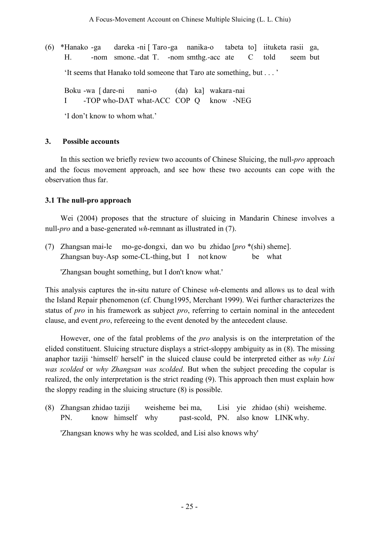(6) \*Hanako -ga dareka -ni [ Taro-ga nanika-o tabeta to] iituketa rasii ga, H. -nom smone.-dat T. -nom smthg.-acc ate C told seem but 'It seems that Hanako told someone that Taro ate something, but . . . '

Boku -wa [ dare-ni nani-o (da) ka] wakara -nai I -TOP who-DAT what-ACC COP Q know -NEG

'I don't know to whom what.'

### **3. Possible accounts**

In this section we briefly review two accounts of Chinese Sluicing, the null-*pro* approach and the focus movement approach, and see how these two accounts can cope with the observation thus far.

## **3.1 The null-pro approach**

Wei (2004) proposes that the structure of sluicing in Mandarin Chinese involves a null-*pro* and a base-generated *wh*-remnant as illustrated in (7).

(7) Zhangsan mai-le mo-ge-dongxi, dan wo bu zhidao [*pro* \*(shi) sheme]. Zhangsan buy-Asp some-CL-thing, but I not know be what

'Zhangsan bought something, but I don't know what.'

This analysis captures the in-situ nature of Chinese *wh*-elements and allows us to deal with the Island Repair phenomenon (cf. Chung1995, Merchant 1999). Wei further characterizes the status of *pro* in his framework as subject *pro*, referring to certain nominal in the antecedent clause, and event *pro*, refereeing to the event denoted by the antecedent clause.

However, one of the fatal problems of the *pro* analysis is on the interpretation of the elided constituent. Sluicing structure displays a strict-sloppy ambiguity as in (8). The missing anaphor taziji 'himself/ herself' in the sluiced clause could be interpreted either as *why Lisi was scolded* or *why Zhangsan was scolded*. But when the subject preceding the copular is realized, the only interpretation is the strict reading (9). This approach then must explain how the sloppy reading in the sluicing structure (8) is possible.

(8) Zhangsan zhidao taziji weisheme bei ma, Lisi yie zhidao (shi) weisheme. PN. know himself why past-scold, PN. also know LINKwhy. 'Zhangsan knows why he was scolded, and Lisi also knows why'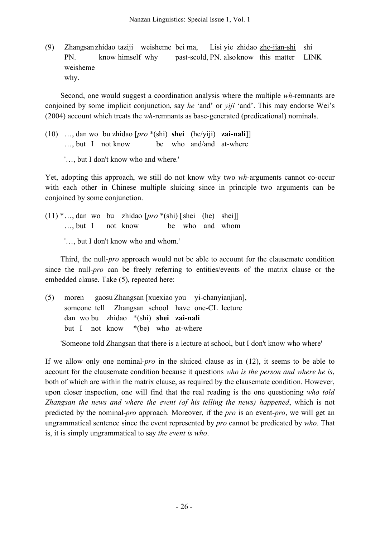(9) Zhangsanzhidao taziji weisheme bei ma, Lisi yie zhidao zhe-jian-shi shi PN. know himself why past-scold, PN. alsoknow this matter LINK weisheme why.

Second, one would suggest a coordination analysis where the multiple *wh*-remnants are conjoined by some implicit conjunction, say *he* 'and' or *yiji* 'and'. This may endorse Wei's (2004) account which treats the *wh*-remnants as base-generated (predicational) nominals.

- (10) …, dan wo bu zhidao [*pro* \*(shi) **shei** (he/yiji) **zai-nali**]] …, but I not know be who and/and at-where
	- '…, but I don't know who and where.'

Yet, adopting this approach, we still do not know why two *wh*-arguments cannot co-occur with each other in Chinese multiple sluicing since in principle two arguments can be conjoined by some conjunction.

(11) \*…, dan wo bu zhidao [*pro* \*(shi) [shei (he) shei]] …, but I not know be who and whom '…, but I don't know who and whom.'

Third, the null-*pro* approach would not be able to account for the clausemate condition since the null-*pro* can be freely referring to entities/events of the matrix clause or the embedded clause. Take (5), repeated here:

(5) moren gaosu Zhangsan [xuexiao you yi-chanyianjian], someone tell Zhangsan school have one-CL lecture dan wo bu zhidao \*(shi) **shei zai-nali** but I not know \*(be) who at-where

'Someone told Zhangsan that there is a lecture at school, but I don't know who where'

If we allow only one nominal-*pro* in the sluiced clause as in (12), it seems to be able to account for the clausemate condition because it questions *who is the person and where he is*, both of which are within the matrix clause, as required by the clausemate condition. However, upon closer inspection, one will find that the real reading is the one questioning *who told Zhangsan the news and where the event (of his telling the news) happened*, which is not predicted by the nominal-*pro* approach. Moreover, if the *pro* is an event-*pro*, we will get an ungrammatical sentence since the event represented by *pro* cannot be predicated by *who*. That is, it is simply ungrammatical to say *the event is who*.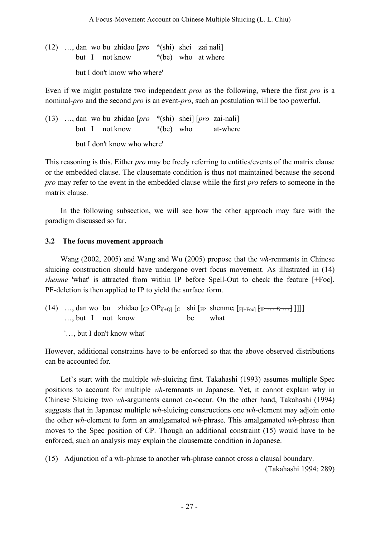(12) …, dan wo bu zhidao [*pro* \*(shi) shei zai nali] but I not know  $*(be)$  who at where but I don't know who where'

Even if we might postulate two independent *pros* as the following, where the first *pro* is a nominal-*pro* and the second *pro* is an event-*pro*, such an postulation will be too powerful.

(13) …, dan wo bu zhidao [*pro* \*(shi) shei] [*pro* zai-nali] but I not know  $*(be)$  who at-where

but I don't know who where'

This reasoning is this. Either *pro* may be freely referring to entities/events of the matrix clause or the embedded clause. The clausemate condition is thus not maintained because the second *pro* may refer to the event in the embedded clause while the first *pro* refers to someone in the matrix clause.

In the following subsection, we will see how the other approach may fare with the paradigm discussed so far.

# **3.2 The focus movement approach**

Wang (2002, 2005) and Wang and Wu (2005) propose that the *wh*-remnants in Chinese sluicing construction should have undergone overt focus movement. As illustrated in (14) *shenme* 'what' is attracted from within IP before Spell-Out to check the feature [+Foc]. PF-deletion is then applied to IP to yield the surface form.

(14) …, dan wo bu zhidao  $[CP OP_{i[+Q]}[C \text{ shi } [FP \text{ shenne}_{i} [F_{i[+Foc]}[F_{i+G}]])]$ …, but I not know be what

'…, but I don't know what'

However, additional constraints have to be enforced so that the above observed distributions can be accounted for.

Let's start with the multiple *wh*-sluicing first. Takahashi (1993) assumes multiple Spec positions to account for multiple *wh*-remnants in Japanese. Yet, it cannot explain why in Chinese Sluicing two *wh*-arguments cannot co-occur. On the other hand, Takahashi (1994) suggests that in Japanese multiple *wh*-sluicing constructions one *wh*-element may adjoin onto the other *wh*-element to form an amalgamated *wh*-phrase. This amalgamated *wh*-phrase then moves to the Spec position of CP. Though an additional constraint (15) would have to be enforced, such an analysis may explain the clausemate condition in Japanese.

(15) Adjunction of a wh-phrase to another wh-phrase cannot cross a clausal boundary.

(Takahashi 1994: 289)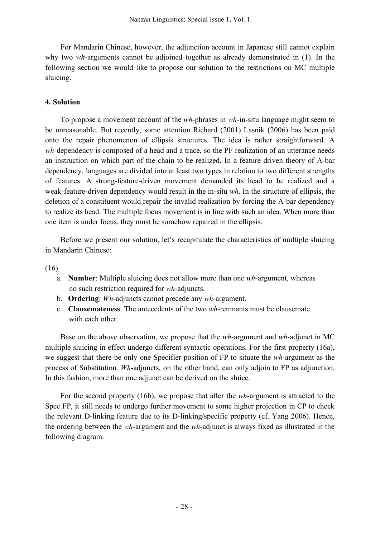For Mandarin Chinese, however, the adjunction account in Japanese still cannot explain why two *wh*-arguments cannot be adjoined together as already demonstrated in (1). In the following section we would like to propose our solution to the restrictions on MC multiple sluicing.

## **4. Solution**

To propose a movement account of the *wh*-phrases in *wh*-in-situ language might seem to be unreasonable. But recently, some attention Richard (2001) Lasnik (2006) has been paid onto the repair phenomenon of ellipsis structures. The idea is rather straightforward. A *wh*-dependency is composed of a head and a trace, so the PF realization of an utterance needs an instruction on which part of the chain to be realized. In a feature driven theory of A-bar dependency, languages are divided into at least two types in relation to two different strengths of features. A strong-feature-driven movement demanded its head to be realized and a weak-feature-driven dependency would result in the in-situ *wh*. In the structure of ellipsis, the deletion of a constituent would repair the invalid realization by forcing the A-bar dependency to realize its head. The multiple focus movement is in line with such an idea. When more than one item is under focus, they must be somehow repaired in the ellipsis.

Before we present our solution, let's recapitulate the characteristics of multiple sluicing in Mandarin Chinese:

(16)

- a. **Number**: Multiple sluicing does not allow more than one *wh*-argument, whereas no such restriction required for *wh*-adjuncts.
- b. **Ordering**: *Wh*-adjuncts cannot precede any *wh*-argument.
- c. **Clausemateness**: The antecedents of the two *wh*-remnants must be clausemate with each other

Base on the above observation, we propose that the *wh*-argument and *wh*-adjunct in MC multiple sluicing in effect undergo different syntactic operations. For the first property (16a), we suggest that there be only one Specifier position of FP to situate the *wh*-argument as the process of Substitution. *Wh*-adjuncts, on the other hand, can only adjoin to FP as adjunction. In this fashion, more than one adjunct can be derived on the sluice.

For the second property (16b), we propose that after the *wh*-argument is attracted to the Spec FP, it still needs to undergo further movement to some higher projection in CP to check the relevant D-linking feature due to its D-linking/specific property (cf. Yang 2006). Hence, the ordering between the *wh*-argument and the *wh*-adjunct is always fixed as illustrated in the following diagram.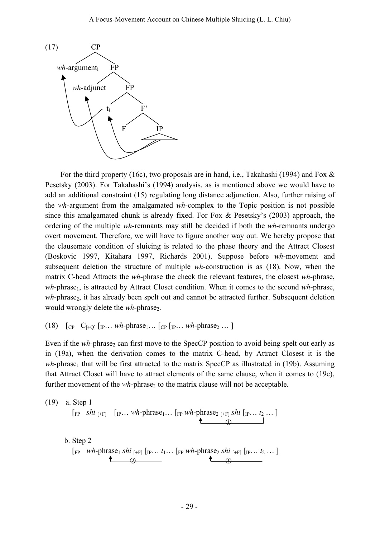

For the third property (16c), two proposals are in hand, i.e., Takahashi (1994) and Fox & Pesetsky (2003). For Takahashi's (1994) analysis, as is mentioned above we would have to add an additional constraint (15) regulating long distance adjunction. Also, further raising of the *wh*-argument from the amalgamated *wh*-complex to the Topic position is not possible since this amalgamated chunk is already fixed. For Fox & Pesetsky's (2003) approach, the ordering of the multiple *wh*-remnants may still be decided if both the *wh*-remnants undergo overt movement. Therefore, we will have to figure another way out. We hereby propose that the clausemate condition of sluicing is related to the phase theory and the Attract Closest (Boskovic 1997, Kitahara 1997, Richards 2001). Suppose before *wh*-movement and subsequent deletion the structure of multiple *wh*-construction is as (18). Now, when the matrix C-head Attracts the *wh*-phrase the check the relevant features, the closest *wh*-phrase, *wh*-phrase<sub>1</sub>, is attracted by Attract Closet condition. When it comes to the second *wh*-phrase, *wh*-phrase<sub>2</sub>, it has already been spelt out and cannot be attracted further. Subsequent deletion would wrongly delete the *wh*-phrase<sub>2</sub>.

(18)  $\begin{bmatrix} C_P & C_{[-1]} & \lbrack P_{\cdot} \ldots & W_{\cdot} \rbrack P_{\cdot} \ldots \lbrack P_{\cdot} \ldots & W_{\cdot} \rbrack P_{\cdot} \ldots \lbrack P_{\cdot} \ldots \lbrack P_{\cdot} \ldots \lbrack P_{\cdot} \ldots & W_{\cdot} \rbrack P_{\cdot} \ldots \lbrack P_{\cdot} \ldots \lbrack P_{\cdot} \ldots \lbrack P_{\cdot} \ldots \lbrack P_{\cdot} \ldots \lbrack P_{\cdot} \ldots \lbrack P_{\cdot} \ldots \lbrack P_{\cdot} \ldots \l$ 

Even if the *wh*-phrase<sub>2</sub> can first move to the SpecCP position to avoid being spelt out early as in (19a), when the derivation comes to the matrix C-head, by Attract Closest it is the  $wh$ -phrase<sub>1</sub> that will be first attracted to the matrix SpecCP as illustrated in (19b). Assuming that Attract Closet will have to attract elements of the same clause, when it comes to (19c), further movement of the *wh*-phrase<sub>2</sub> to the matrix clause will not be acceptable.

(19) a. Step 1  
\n
$$
\begin{bmatrix}\n\text{FP} & \text{shi } [\text{FF}] \\
\text{FP} & \text{F1} \\
\text{FP} & \text{F2} \\
\text{FP} & \text{F1}\n\end{bmatrix}\n\begin{bmatrix}\n\text{TP} & \text{F1} \\
\text{FP} & \text{F2} \\
\text{FP} & \text{F1}\n\end{bmatrix}\n\begin{bmatrix}\n\text{FP} & \text{F1} \\
\text{FP} & \text{F2} \\
\text{FP} & \text{F1}\n\end{bmatrix}\n\begin{bmatrix}\n\text{TP} & \text{F1} \\
\text{FP} & \text{F2} \\
\text{FP} & \text{F1}\n\end{bmatrix}
$$

b. Step 2  
\n
$$
\begin{array}{c}\n\text{[FP]} \ \mathit{wh}\text{-phrase}_1 \ \mathit{shi}_{[+F]} \ [\text{IP} \dots \ \mathit{t}_1 \dots \ [\text{FP} \ \mathit{wh}\text{-phrase}_2 \ \mathit{shi}_{[+F]} \ [\text{IP} \dots \ \mathit{t}_2 \dots ]\n\end{array}
$$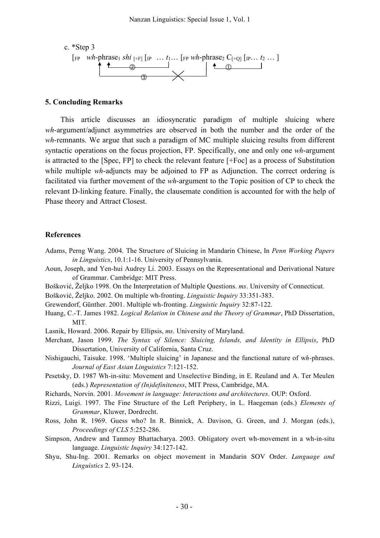

#### **5. Concluding Remarks**

This article discusses an idiosyncratic paradigm of multiple sluicing where *wh*-argument/adjunct asymmetries are observed in both the number and the order of the *wh*-remnants. We argue that such a paradigm of MC multiple sluicing results from different syntactic operations on the focus projection, FP. Specifically, one and only one *wh*-argument is attracted to the [Spec, FP] to check the relevant feature [+Foc] as a process of Substitution while multiple *wh*-adjuncts may be adjoined to FP as Adjunction. The correct ordering is facilitated via further movement of the *wh*-argument to the Topic position of CP to check the relevant D-linking feature. Finally, the clausemate condition is accounted for with the help of Phase theory and Attract Closest.

#### **References**

- Adams, Perng Wang. 2004. The Structure of Sluicing in Mandarin Chinese, In *Penn Working Papers in Linguistics*, 10.1:1-16. University of Pennsylvania.
- Aoun, Joseph, and Yen-hui Audrey Li. 2003. Essays on the Representational and Derivational Nature of Grammar. Cambridge: MIT Press.
- Bošković, Željko 1998. On the Interpretation of Multiple Questions. *ms*. University of Connecticut.
- Bošković, Željko. 2002. On multiple wh-fronting. *Linguistic Inquiry* 33:351-383.
- Grewendorf, Günther. 2001. Multiple wh-fronting. *Linguistic Inquiry* 32:87-122.
- Huang, C.-T. James 1982. *Logical Relation in Chinese and the Theory of Grammar*, PhD Dissertation, MIT.
- Lasnik, Howard. 2006. Repair by Ellipsis, *ms*. University of Maryland.
- Merchant, Jason 1999. *The Syntax of Silence: Sluicing, Islands, and Identity in Ellipsis*, PhD Dissertation, University of California, Santa Cruz.
- Nishigauchi, Taisuke. 1998. 'Multiple sluicing' in Japanese and the functional nature of w*h-*phrases. *Journal of East Asian Linguistics* 7:121-152.
- Pesetsky, D. 1987 Wh-in-situ: Movement and Unselective Binding, in E. Reuland and A. Ter Meulen (eds.) *Representation of (In)definiteness*, MIT Press, Cambridge, MA.
- Richards, Norvin. 2001. *Movement in language: Interactions and architectures*. OUP: Oxford.
- Rizzi, Luigi. 1997. The Fine Structure of the Left Periphery, in L. Haegeman (eds.) *Elements of Grammar*, Kluwer, Dordrecht.
- Ross, John R. 1969. Guess who? In R. Binnick, A. Davison, G. Green, and J. Morgan (eds.), *Proceedings of CLS* 5:252-286.
- Simpson, Andrew and Tanmoy Bhattacharya. 2003. Obligatory overt wh-movement in a wh-in-situ language. *Linguistic Inquiry* 34:127-142.
- Shyu, Shu-Ing. 2001. Remarks on object movement in Mandarin SOV Order. *Language and Linguistics* 2. 93-124.